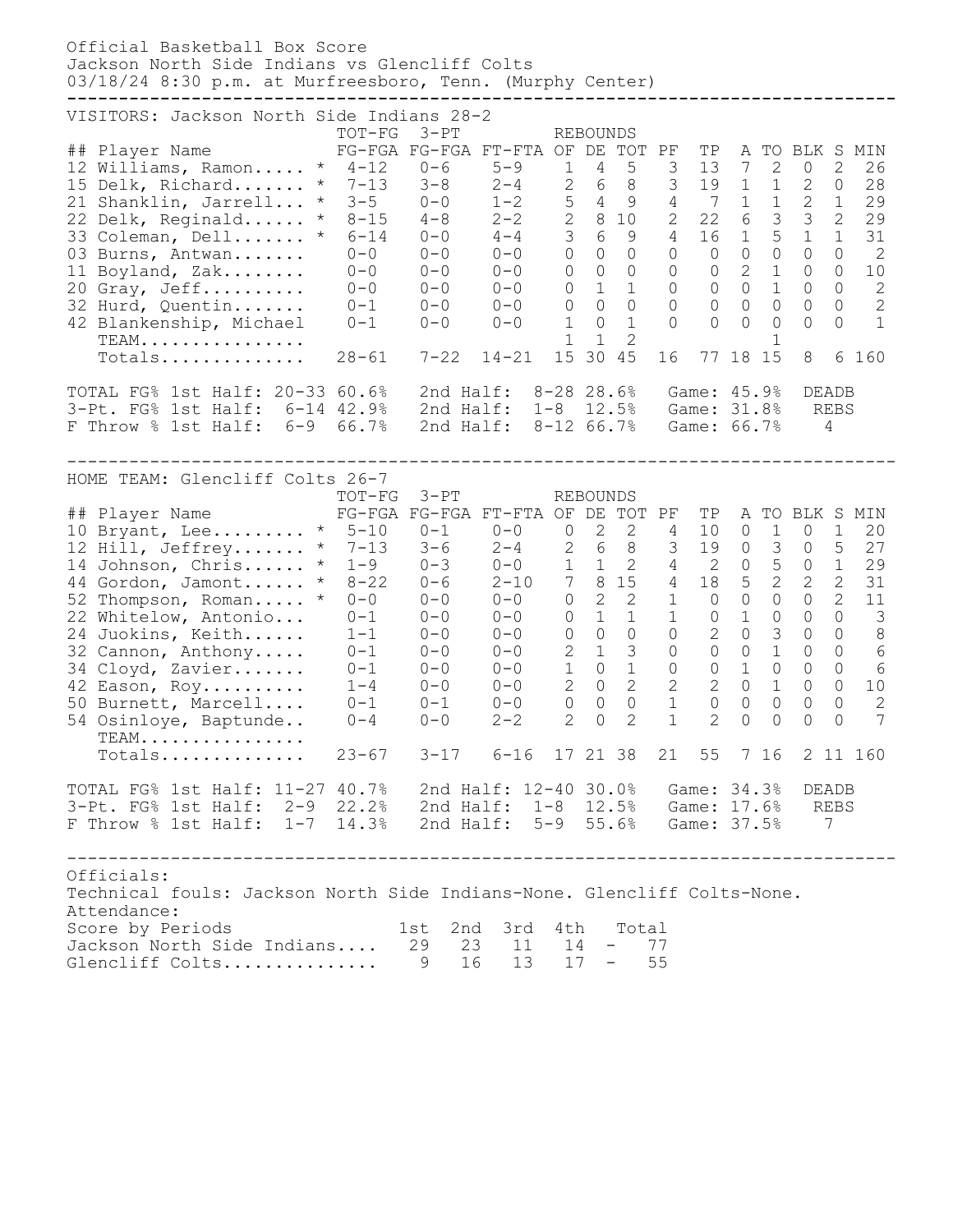Official Basketball Box Score Jackson North Side Indians vs Glencliff Colts 03/18/24 8:30 p.m. at Murfreesboro, Tenn. (Murphy Center) **--------------------------------------------------------------------------------** VISITORS: Jackson North Side Indians 28-2<br>TOT-FG 3-PT REBOUNDS TOT-FG 3-PT ## Player Name FG-FGA FG-FGA FT-FTA OF DE TOT PF TP A TO BLK S MIN 12 Williams, Ramon..... \* 4-12 0-6 5-9 1 4 5 3 13 7 2 0 2 26 15 Delk, Richard....... \* 7-13 3-8 2-4 2 6 8 3 19 1 1 2 0 28 21 Shanklin, Jarrell... \* 3-5 0-0 1-2 5 4 9 4 7 1 1 2 1 29 22 Delk, Reginald...... \* 8-15 4-8 2-2 2 8 10 2 22 6 3 3 2 29 33 Coleman, Dell....... \* 6-14 0-0 4-4 3 6 9 4 16 1 5 1 1 31 03 Burns, Antwan....... 0-0 0-0 0-0 0 0 0 0 0 0 0 0 0 2 11 Boyland, Zak........ 0-0 0-0 0-0 0 0 0 0 0 2 1 0 0 10 20 Gray, Jeff.......... 0-0 0-0 0-0 0 1 1 0 0 0 1 0 0 2 32 Hurd, Quentin....... 0-1 0-0 0-0 0 0 0 0 0 0 0 0 0 2 42 Blankenship, Michael 0-1 0-0 0-0 1 0 1 0 0 0 0 0 0 1 TEAM................ 1 1 2 1 TEAM..................<br>Totals................. 28-61 7-22 14-21 15 30 45 16 77 18 15 8 6 160 TOTAL FG% 1st Half: 20-33 60.6% 2nd Half: 8-28 28.6% Game: 45.9% DEADB 3-Pt. FG% 1st Half: 6-14 42.9% 2nd Half: 1-8 12.5% Game: 31.8% REBS F Throw % 1st Half: 6-9 66.7% 2nd Half: 8-12 66.7% Game: 66.7% 4 -------------------------------------------------------------------------------- HOME TEAM: Glencliff Colts 26-7 TOT-FG 3-PT REBOUNDS ## Player Name FG-FGA FG-FGA FT-FTA OF DE TOT PF TP A TO BLK S MIN 10 Bryant, Lee......... \* 5-10 0-1 0-0 0 2 2 4 10 0 1 0 1 20 12 Hill, Jeffrey....... \* 7-13 3-6 2-4 2 6 8 3 19 0 3 0 5 27 14 Johnson, Chris...... \* 1-9 0-3 0-0 1 1 2 4 2 0 5 0 1 29 44 Gordon, Jamont...... \* 8-22 0-6 2-10 7 8 15 4 18 5 2 2 2 31 52 Thompson, Roman..... \* 0-0 0-0 0-0 0 2 2 1 0 0 0 0 2 11 22 Whitelow, Antonio... 0-1 0-0 0-0 0 1 1 1 0 1 0 0 0 3 24 Juokins, Keith...... 1-1 0-0 0-0 0 0 0 0 2 0 3 0 0 8 32 Cannon, Anthony..... 0-1 0-0 0-0 2 1 3 0 0 0 1 0 0 6 34 Cloyd, Zavier....... 0-1 0-0 0-0 1 0 1 0 0 1 0 0 0 6 42 Eason, Roy.......... 1-4 0-0 0-0 2 0 2 2 2 0 1 0 0 10 50 Burnett, Marcell.... 0-1 0-1 0-0 0 0 0 1 0 0 0 0 0 2 54 Osinloye, Baptunde.. 0-4 0-0 2-2 2 0 2 1 2 0 0 0 0 7 TEAM................ TEAM.................<br>Totals............... 23-67 3-17 6-16 17 21 38 21 55 7 16 2 11 160 TOTAL FG% 1st Half: 11-27 40.7% 2nd Half: 12-40 30.0% Game: 34.3% DEADB 3-Pt. FG% 1st Half: 2-9 22.2% 2nd Half: 1-8 12.5% Game: 17.6% REBS F Throw % 1st Half: 1-7 14.3% 2nd Half: 5-9 55.6% Game: 37.5% 7 -------------------------------------------------------------------------------- Officials: Technical fouls: Jackson North Side Indians-None. Glencliff Colts-None. Attendance: Score by Periods 1st 2nd 3rd 4th Total Jackson North Side Indians.... 29 23 11 14 - 77 Glencliff Colts............... 9 16 13 17 - 55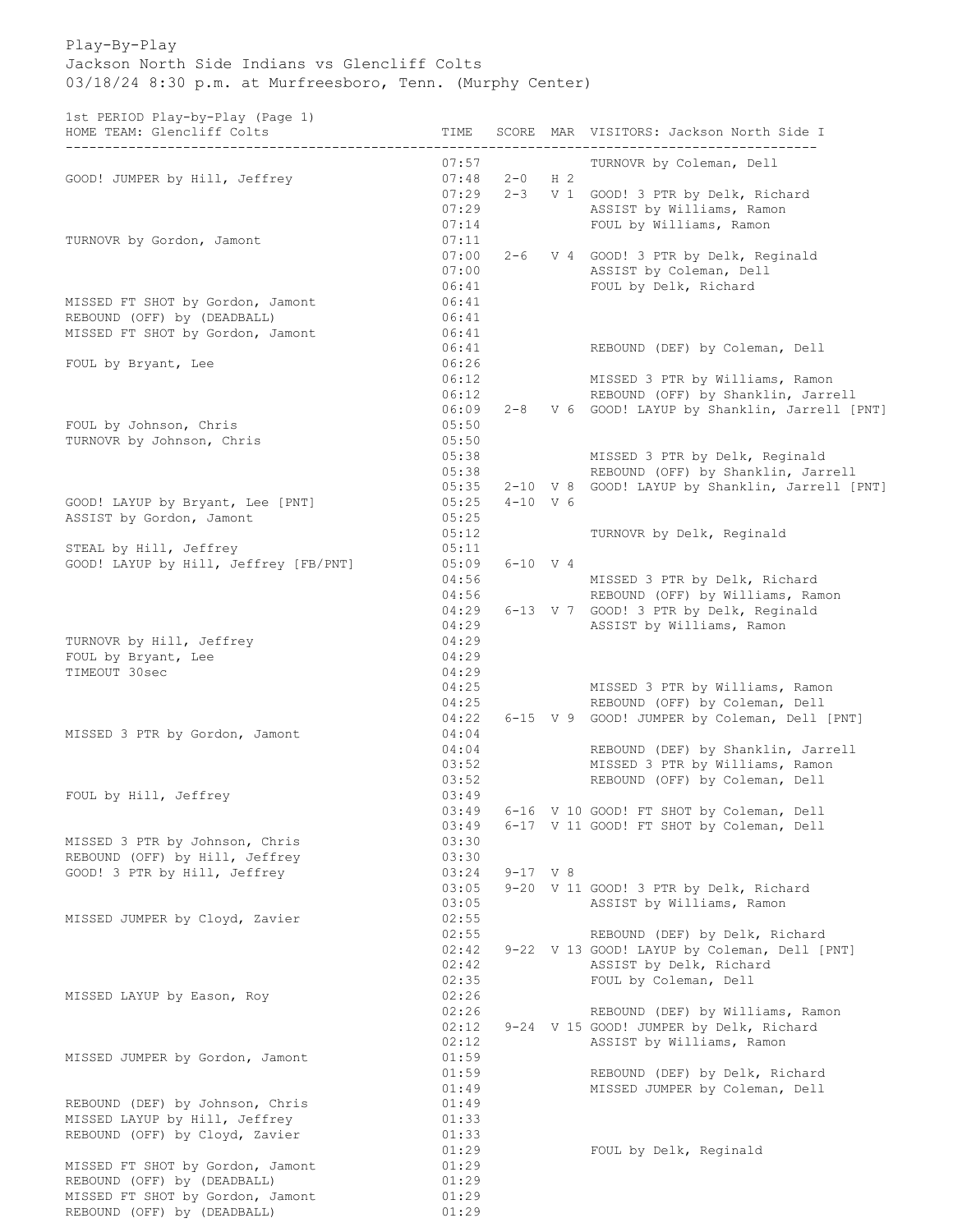Play-By-Play Jackson North Side Indians vs Glencliff Colts 03/18/24 8:30 p.m. at Murfreesboro, Tenn. (Murphy Center)

1st PERIOD Play-by-Play (Page 1)

| 100 1111100 114, by 114, tingo 1,<br>HOME TEAM: Glencliff Colts | TIME  |              |                | SCORE MAR VISITORS: Jackson North Side I        |
|-----------------------------------------------------------------|-------|--------------|----------------|-------------------------------------------------|
|                                                                 | 07:57 |              |                | TURNOVR by Coleman, Dell                        |
| GOOD! JUMPER by Hill, Jeffrey                                   | 07:48 | $2 - 0$      | H <sub>2</sub> |                                                 |
|                                                                 | 07:29 |              |                | 2-3 V 1 GOOD! 3 PTR by Delk, Richard            |
|                                                                 | 07:29 |              |                | ASSIST by Williams, Ramon                       |
|                                                                 | 07:14 |              |                | FOUL by Williams, Ramon                         |
| TURNOVR by Gordon, Jamont                                       | 07:11 |              |                |                                                 |
|                                                                 | 07:00 |              |                | 2-6 V 4 GOOD! 3 PTR by Delk, Reginald           |
|                                                                 | 07:00 |              |                | ASSIST by Coleman, Dell                         |
|                                                                 | 06:41 |              |                | FOUL by Delk, Richard                           |
| MISSED FT SHOT by Gordon, Jamont                                | 06:41 |              |                |                                                 |
| REBOUND (OFF) by (DEADBALL)                                     | 06:41 |              |                |                                                 |
|                                                                 | 06:41 |              |                |                                                 |
| MISSED FT SHOT by Gordon, Jamont                                |       |              |                |                                                 |
|                                                                 | 06:41 |              |                | REBOUND (DEF) by Coleman, Dell                  |
| FOUL by Bryant, Lee                                             | 06:26 |              |                |                                                 |
|                                                                 | 06:12 |              |                | MISSED 3 PTR by Williams, Ramon                 |
|                                                                 | 06:12 |              |                | REBOUND (OFF) by Shanklin, Jarrell              |
|                                                                 | 06:09 |              |                | 2-8 V 6 GOOD! LAYUP by Shanklin, Jarrell [PNT]  |
| FOUL by Johnson, Chris                                          | 05:50 |              |                |                                                 |
| TURNOVR by Johnson, Chris                                       | 05:50 |              |                |                                                 |
|                                                                 | 05:38 |              |                | MISSED 3 PTR by Delk, Reginald                  |
|                                                                 | 05:38 |              |                | REBOUND (OFF) by Shanklin, Jarrell              |
|                                                                 | 05:35 |              |                | 2-10 V 8 GOOD! LAYUP by Shanklin, Jarrell [PNT] |
|                                                                 |       |              |                |                                                 |
| GOOD! LAYUP by Bryant, Lee [PNT]                                | 05:25 | $4 - 10$ V 6 |                |                                                 |
| ASSIST by Gordon, Jamont                                        | 05:25 |              |                |                                                 |
|                                                                 | 05:12 |              |                | TURNOVR by Delk, Reginald                       |
| STEAL by Hill, Jeffrey                                          | 05:11 |              |                |                                                 |
| GOOD! LAYUP by Hill, Jeffrey [FB/PNT]                           | 05:09 |              | $6 - 10$ V 4   |                                                 |
|                                                                 | 04:56 |              |                | MISSED 3 PTR by Delk, Richard                   |
|                                                                 | 04:56 |              |                | REBOUND (OFF) by Williams, Ramon                |
|                                                                 | 04:29 |              |                | 6-13 V 7 GOOD! 3 PTR by Delk, Reginald          |
|                                                                 | 04:29 |              |                | ASSIST by Williams, Ramon                       |
| TURNOVR by Hill, Jeffrey                                        | 04:29 |              |                |                                                 |
| FOUL by Bryant, Lee                                             | 04:29 |              |                |                                                 |
| TIMEOUT 30sec                                                   | 04:29 |              |                |                                                 |
|                                                                 |       |              |                |                                                 |
|                                                                 | 04:25 |              |                | MISSED 3 PTR by Williams, Ramon                 |
|                                                                 | 04:25 |              |                | REBOUND (OFF) by Coleman, Dell                  |
|                                                                 | 04:22 |              |                | 6-15 V 9 GOOD! JUMPER by Coleman, Dell [PNT]    |
| MISSED 3 PTR by Gordon, Jamont                                  | 04:04 |              |                |                                                 |
|                                                                 | 04:04 |              |                | REBOUND (DEF) by Shanklin, Jarrell              |
|                                                                 | 03:52 |              |                | MISSED 3 PTR by Williams, Ramon                 |
|                                                                 | 03:52 |              |                | REBOUND (OFF) by Coleman, Dell                  |
| FOUL by Hill, Jeffrey                                           | 03:49 |              |                |                                                 |
|                                                                 | 03:49 |              |                | 6-16 V 10 GOOD! FT SHOT by Coleman, Dell        |
|                                                                 | 03:49 |              |                | 6-17 V 11 GOOD! FT SHOT by Coleman, Dell        |
| MISSED 3 PTR by Johnson, Chris                                  | 03:30 |              |                |                                                 |
| REBOUND (OFF) by Hill, Jeffrey                                  | 03:30 |              |                |                                                 |
|                                                                 |       |              |                |                                                 |
| GOOD! 3 PTR by Hill, Jeffrey                                    | 03:24 | $9 - 17$ V 8 |                |                                                 |
|                                                                 | 03:05 |              |                | 9-20 V 11 GOOD! 3 PTR by Delk, Richard          |
|                                                                 | 03:05 |              |                | ASSIST by Williams, Ramon                       |
| MISSED JUMPER by Cloyd, Zavier                                  | 02:55 |              |                |                                                 |
|                                                                 | 02:55 |              |                | REBOUND (DEF) by Delk, Richard                  |
|                                                                 | 02:42 |              |                | 9-22 V 13 GOOD! LAYUP by Coleman, Dell [PNT]    |
|                                                                 | 02:42 |              |                | ASSIST by Delk, Richard                         |
|                                                                 | 02:35 |              |                | FOUL by Coleman, Dell                           |
| MISSED LAYUP by Eason, Roy                                      | 02:26 |              |                |                                                 |
|                                                                 | 02:26 |              |                | REBOUND (DEF) by Williams, Ramon                |
|                                                                 | 02:12 |              |                |                                                 |
|                                                                 |       |              |                | 9-24 V 15 GOOD! JUMPER by Delk, Richard         |
|                                                                 | 02:12 |              |                | ASSIST by Williams, Ramon                       |
| MISSED JUMPER by Gordon, Jamont                                 | 01:59 |              |                |                                                 |
|                                                                 | 01:59 |              |                | REBOUND (DEF) by Delk, Richard                  |
|                                                                 | 01:49 |              |                | MISSED JUMPER by Coleman, Dell                  |
| REBOUND (DEF) by Johnson, Chris                                 | 01:49 |              |                |                                                 |
| MISSED LAYUP by Hill, Jeffrey                                   | 01:33 |              |                |                                                 |
| REBOUND (OFF) by Cloyd, Zavier                                  | 01:33 |              |                |                                                 |
|                                                                 | 01:29 |              |                | FOUL by Delk, Reginald                          |
| MISSED FT SHOT by Gordon, Jamont                                | 01:29 |              |                |                                                 |
|                                                                 |       |              |                |                                                 |
| REBOUND (OFF) by (DEADBALL)                                     | 01:29 |              |                |                                                 |
| MISSED FT SHOT by Gordon, Jamont                                | 01:29 |              |                |                                                 |
| REBOUND (OFF) by (DEADBALL)                                     | 01:29 |              |                |                                                 |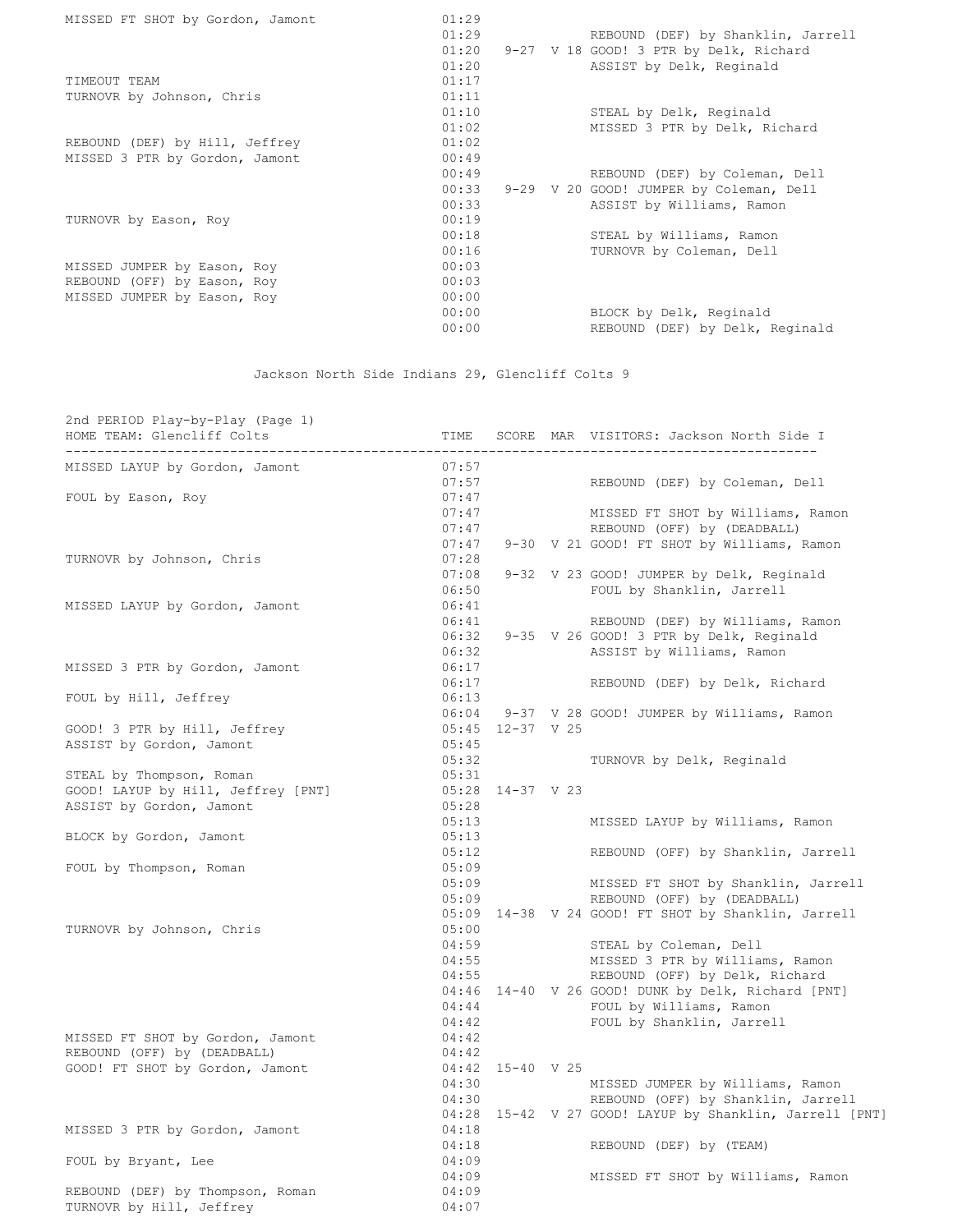| MISSED FT SHOT by Gordon, Jamont | 01:29 |                                         |
|----------------------------------|-------|-----------------------------------------|
|                                  | 01:29 | REBOUND (DEF) by Shanklin, Jarrell      |
|                                  | 01:20 | 9-27 V 18 GOOD! 3 PTR by Delk, Richard  |
|                                  | 01:20 | ASSIST by Delk, Reginald                |
| TIMEOUT TEAM                     | 01:17 |                                         |
| TURNOVR by Johnson, Chris        | 01:11 |                                         |
|                                  | 01:10 | STEAL by Delk, Reginald                 |
|                                  | 01:02 | MISSED 3 PTR by Delk, Richard           |
| REBOUND (DEF) by Hill, Jeffrey   | 01:02 |                                         |
| MISSED 3 PTR by Gordon, Jamont   | 00:49 |                                         |
|                                  | 00:49 | REBOUND (DEF) by Coleman, Dell          |
|                                  | 00:33 | 9-29 V 20 GOOD! JUMPER by Coleman, Dell |
|                                  | 00:33 | ASSIST by Williams, Ramon               |
| TURNOVR by Eason, Roy            | 00:19 |                                         |
|                                  | 00:18 | STEAL by Williams, Ramon                |
|                                  | 00:16 | TURNOVR by Coleman, Dell                |
| MISSED JUMPER by Eason, Roy      | 00:03 |                                         |
| REBOUND (OFF) by Eason, Roy      | 00:03 |                                         |
| MISSED JUMPER by Eason, Roy      | 00:00 |                                         |
|                                  | 00:00 | BLOCK by Delk, Reginald                 |
|                                  | 00:00 | REBOUND (DEF) by Delk, Reginald         |
|                                  |       |                                         |

Jackson North Side Indians 29, Glencliff Colts 9

| 2nd PERIOD Play-by-Play (Page 1)<br>HOME TEAM: Glencliff Colts | TIME  |                    | SCORE MAR VISITORS: Jackson North Side I                |
|----------------------------------------------------------------|-------|--------------------|---------------------------------------------------------|
| MISSED LAYUP by Gordon, Jamont                                 | 07:57 |                    |                                                         |
|                                                                | 07:57 |                    | REBOUND (DEF) by Coleman, Dell                          |
| FOUL by Eason, Roy                                             | 07:47 |                    |                                                         |
|                                                                | 07:47 |                    | MISSED FT SHOT by Williams, Ramon                       |
|                                                                | 07:47 |                    | REBOUND (OFF) by (DEADBALL)                             |
|                                                                | 07:47 |                    | 9-30 V 21 GOOD! FT SHOT by Williams, Ramon              |
| TURNOVR by Johnson, Chris                                      | 07:28 |                    |                                                         |
|                                                                | 07:08 |                    | 9-32 V 23 GOOD! JUMPER by Delk, Reginald                |
|                                                                | 06:50 |                    | FOUL by Shanklin, Jarrell                               |
| MISSED LAYUP by Gordon, Jamont                                 | 06:41 |                    |                                                         |
|                                                                | 06:41 |                    | REBOUND (DEF) by Williams, Ramon                        |
|                                                                |       |                    | 06:32 9-35 V 26 GOOD! 3 PTR by Delk, Reginald           |
|                                                                | 06:32 |                    | ASSIST by Williams, Ramon                               |
| MISSED 3 PTR by Gordon, Jamont                                 | 06:17 |                    |                                                         |
|                                                                | 06:17 |                    | REBOUND (DEF) by Delk, Richard                          |
| FOUL by Hill, Jeffrey                                          | 06:13 |                    |                                                         |
|                                                                |       |                    | 06:04 9-37 V 28 GOOD! JUMPER by Williams, Ramon         |
| GOOD! 3 PTR by Hill, Jeffrey                                   |       | 05:45 12-37 V 25   |                                                         |
| ASSIST by Gordon, Jamont                                       | 05:45 |                    |                                                         |
|                                                                | 05:32 |                    | TURNOVR by Delk, Reginald                               |
| STEAL by Thompson, Roman                                       | 05:31 |                    |                                                         |
| GOOD! LAYUP by Hill, Jeffrey [PNT]                             |       | 05:28 14-37 V 23   |                                                         |
| ASSIST by Gordon, Jamont                                       | 05:28 |                    |                                                         |
|                                                                | 05:13 |                    | MISSED LAYUP by Williams, Ramon                         |
| BLOCK by Gordon, Jamont                                        | 05:13 |                    |                                                         |
|                                                                | 05:12 |                    | REBOUND (OFF) by Shanklin, Jarrell                      |
| FOUL by Thompson, Roman                                        | 05:09 |                    |                                                         |
|                                                                | 05:09 |                    | MISSED FT SHOT by Shanklin, Jarrell                     |
|                                                                | 05:09 |                    | REBOUND (OFF) by (DEADBALL)                             |
|                                                                |       |                    | 05:09 14-38 V 24 GOOD! FT SHOT by Shanklin, Jarrell     |
| TURNOVR by Johnson, Chris                                      | 05:00 |                    |                                                         |
|                                                                | 04:59 |                    | STEAL by Coleman, Dell                                  |
|                                                                | 04:55 |                    | MISSED 3 PTR by Williams, Ramon                         |
|                                                                |       | 04:55              | REBOUND (OFF) by Delk, Richard                          |
|                                                                |       |                    | 04:46 14-40 V 26 GOOD! DUNK by Delk, Richard [PNT]      |
|                                                                | 04:44 |                    | FOUL by Williams, Ramon                                 |
|                                                                | 04:42 |                    | FOUL by Shanklin, Jarrell                               |
| MISSED FT SHOT by Gordon, Jamont                               | 04:42 |                    |                                                         |
| REBOUND (OFF) by (DEADBALL)                                    | 04:42 |                    |                                                         |
| GOOD! FT SHOT by Gordon, Jamont                                |       | $04:42$ 15-40 V 25 |                                                         |
|                                                                |       | $04:30$<br>$04:30$ | MISSED JUMPER by Williams, Ramon                        |
|                                                                |       |                    | REBOUND (OFF) by Shanklin, Jarrell                      |
|                                                                |       |                    | 04:28 15-42 V 27 GOOD! LAYUP by Shanklin, Jarrell [PNT] |
| MISSED 3 PTR by Gordon, Jamont                                 | 04:18 |                    |                                                         |
|                                                                | 04:18 |                    | REBOUND (DEF) by (TEAM)                                 |
| FOUL by Bryant, Lee                                            | 04:09 |                    |                                                         |
|                                                                | 04:09 |                    | MISSED FT SHOT by Williams, Ramon                       |
| REBOUND (DEF) by Thompson, Roman                               | 04:09 |                    |                                                         |
| TURNOVR by Hill, Jeffrey                                       | 04:07 |                    |                                                         |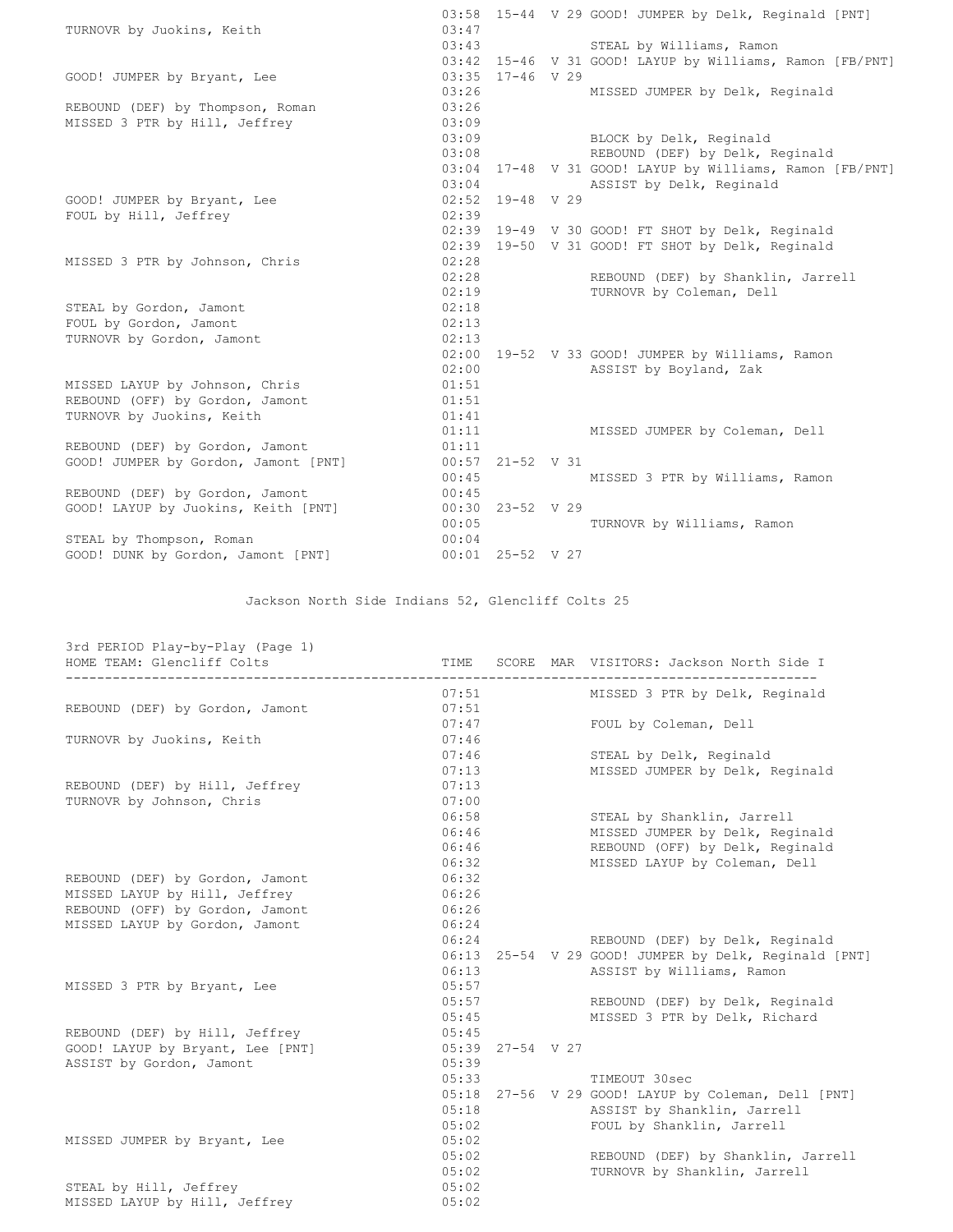| 03:58 15-44 V 29 GOOD! JUMPER by Delk, Reginald [PNT]<br>03:47<br>TURNOVR by Juokins, Keith<br>03:43<br>STEAL by Williams, Ramon<br>03:42 15-46 V 31 GOOD! LAYUP by Williams, Ramon [FB/PNT]<br>$03:35$ 17-46 V 29<br>GOOD! JUMPER by Bryant, Lee<br>03:26<br>MISSED JUMPER by Delk, Reginald<br>03:26<br>REBOUND (DEF) by Thompson, Roman<br>MISSED 3 PTR by Hill, Jeffrey<br>03:09<br>03:09 BLOCK by Delk, Reginald<br>03:08<br>REBOUND (DEF) by Delk, Reginald<br>03:04 17-48 V 31 GOOD! LAYUP by Williams, Ramon [FB/PNT]<br>03:04<br>ASSIST by Delk, Reginald<br>$02:52$ 19-48 V 29<br>GOOD! JUMPER by Bryant, Lee |
|-------------------------------------------------------------------------------------------------------------------------------------------------------------------------------------------------------------------------------------------------------------------------------------------------------------------------------------------------------------------------------------------------------------------------------------------------------------------------------------------------------------------------------------------------------------------------------------------------------------------------|
|                                                                                                                                                                                                                                                                                                                                                                                                                                                                                                                                                                                                                         |
|                                                                                                                                                                                                                                                                                                                                                                                                                                                                                                                                                                                                                         |
|                                                                                                                                                                                                                                                                                                                                                                                                                                                                                                                                                                                                                         |
|                                                                                                                                                                                                                                                                                                                                                                                                                                                                                                                                                                                                                         |
|                                                                                                                                                                                                                                                                                                                                                                                                                                                                                                                                                                                                                         |
|                                                                                                                                                                                                                                                                                                                                                                                                                                                                                                                                                                                                                         |
|                                                                                                                                                                                                                                                                                                                                                                                                                                                                                                                                                                                                                         |
|                                                                                                                                                                                                                                                                                                                                                                                                                                                                                                                                                                                                                         |
|                                                                                                                                                                                                                                                                                                                                                                                                                                                                                                                                                                                                                         |
|                                                                                                                                                                                                                                                                                                                                                                                                                                                                                                                                                                                                                         |
|                                                                                                                                                                                                                                                                                                                                                                                                                                                                                                                                                                                                                         |
|                                                                                                                                                                                                                                                                                                                                                                                                                                                                                                                                                                                                                         |
| 02:39<br>FOUL by Hill, Jeffrey                                                                                                                                                                                                                                                                                                                                                                                                                                                                                                                                                                                          |
| 02:39 19-49 V 30 GOOD! FT SHOT by Delk, Reginald                                                                                                                                                                                                                                                                                                                                                                                                                                                                                                                                                                        |
| 19-50 V 31 GOOD! FT SHOT by Delk, Reginald<br>02:39                                                                                                                                                                                                                                                                                                                                                                                                                                                                                                                                                                     |
| 02:28<br>MISSED 3 PTR by Johnson, Chris                                                                                                                                                                                                                                                                                                                                                                                                                                                                                                                                                                                 |
| 02:28<br>REBOUND (DEF) by Shanklin, Jarrell                                                                                                                                                                                                                                                                                                                                                                                                                                                                                                                                                                             |
| 02:19<br>TURNOVR by Coleman, Dell                                                                                                                                                                                                                                                                                                                                                                                                                                                                                                                                                                                       |
| 02:18<br>STEAL by Gordon, Jamont                                                                                                                                                                                                                                                                                                                                                                                                                                                                                                                                                                                        |
| 02:13<br>FOUL by Gordon, Jamont                                                                                                                                                                                                                                                                                                                                                                                                                                                                                                                                                                                         |
| TURNOVR by Gordon, Jamont<br>02:13                                                                                                                                                                                                                                                                                                                                                                                                                                                                                                                                                                                      |
| 02:00 19-52 V 33 GOOD! JUMPER by Williams, Ramon                                                                                                                                                                                                                                                                                                                                                                                                                                                                                                                                                                        |
| 02:00<br>ASSIST by Boyland, Zak                                                                                                                                                                                                                                                                                                                                                                                                                                                                                                                                                                                         |
| 01:51<br>MISSED LAYUP by Johnson, Chris                                                                                                                                                                                                                                                                                                                                                                                                                                                                                                                                                                                 |
| 01:51<br>REBOUND (OFF) by Gordon, Jamont                                                                                                                                                                                                                                                                                                                                                                                                                                                                                                                                                                                |
| TURNOVR by Juokins, Keith<br>01:41                                                                                                                                                                                                                                                                                                                                                                                                                                                                                                                                                                                      |
| 01:11 MISSED JUMPER by Coleman, Dell                                                                                                                                                                                                                                                                                                                                                                                                                                                                                                                                                                                    |
| REBOUND (DEF) by Gordon, Jamont<br>01:11                                                                                                                                                                                                                                                                                                                                                                                                                                                                                                                                                                                |
| GOOD! JUMPER by Gordon, Jamont [PNT]<br>$00:57$ 21-52 V 31                                                                                                                                                                                                                                                                                                                                                                                                                                                                                                                                                              |
| 00:45<br>MISSED 3 PTR by Williams, Ramon                                                                                                                                                                                                                                                                                                                                                                                                                                                                                                                                                                                |
| REBOUND (DEF) by Gordon, Jamont<br>00:45                                                                                                                                                                                                                                                                                                                                                                                                                                                                                                                                                                                |
| 00:30 23-52 V 29<br>GOOD! LAYUP by Juokins, Keith [PNT]                                                                                                                                                                                                                                                                                                                                                                                                                                                                                                                                                                 |
| 00:05<br>TURNOVR by Williams, Ramon                                                                                                                                                                                                                                                                                                                                                                                                                                                                                                                                                                                     |
| STEAL by Thompson, Roman<br>00:04                                                                                                                                                                                                                                                                                                                                                                                                                                                                                                                                                                                       |
| GOOD! DUNK by Gordon, Jamont [PNT]<br>$00:01$ 25-52 V 27                                                                                                                                                                                                                                                                                                                                                                                                                                                                                                                                                                |

Jackson North Side Indians 52, Glencliff Colts 25

| 3rd PERIOD Play-by-Play (Page 1)                       |             |                  |                                                       |
|--------------------------------------------------------|-------------|------------------|-------------------------------------------------------|
| HOME TEAM: Glencliff Colts<br>------------------------ | <b>TIME</b> |                  | SCORE MAR VISITORS: Jackson North Side I              |
|                                                        | 07:51       |                  | MISSED 3 PTR by Delk, Reginald                        |
| REBOUND (DEF) by Gordon, Jamont                        | 07:51       |                  |                                                       |
|                                                        | 07:47       |                  | FOUL by Coleman, Dell                                 |
| TURNOVR by Juokins, Keith                              | 07:46       |                  |                                                       |
|                                                        | 07:46       |                  | STEAL by Delk, Reginald                               |
|                                                        | 07:13       |                  | MISSED JUMPER by Delk, Reginald                       |
| REBOUND (DEF) by Hill, Jeffrey                         | 07:13       |                  |                                                       |
| TURNOVR by Johnson, Chris                              | 07:00       |                  |                                                       |
|                                                        | 06:58       |                  | STEAL by Shanklin, Jarrell                            |
|                                                        | 06:46       |                  | MISSED JUMPER by Delk, Reginald                       |
|                                                        | 06:46       |                  | REBOUND (OFF) by Delk, Reginald                       |
|                                                        | 06:32       |                  | MISSED LAYUP by Coleman, Dell                         |
| REBOUND (DEF) by Gordon, Jamont                        | 06:32       |                  |                                                       |
| MISSED LAYUP by Hill, Jeffrey                          | 06:26       |                  |                                                       |
| REBOUND (OFF) by Gordon, Jamont                        | 06:26       |                  |                                                       |
| MISSED LAYUP by Gordon, Jamont                         | 06:24       |                  |                                                       |
|                                                        | 06:24       |                  | REBOUND (DEF) by Delk, Reginald                       |
|                                                        |             |                  | 06:13 25-54 V 29 GOOD! JUMPER by Delk, Reginald [PNT] |
|                                                        | 06:13       |                  | ASSIST by Williams, Ramon                             |
| MISSED 3 PTR by Bryant, Lee                            | 05:57       |                  |                                                       |
|                                                        | 05:57       |                  | REBOUND (DEF) by Delk, Reginald                       |
|                                                        | 05:45       |                  | MISSED 3 PTR by Delk, Richard                         |
| REBOUND (DEF) by Hill, Jeffrey                         | 05:45       |                  |                                                       |
| GOOD! LAYUP by Bryant, Lee [PNT]                       |             | 05:39 27-54 V 27 |                                                       |
| ASSIST by Gordon, Jamont                               | 05:39       |                  |                                                       |
|                                                        | 05:33       |                  | TIMEOUT 30sec                                         |
|                                                        |             |                  | 05:18 27-56 V 29 GOOD! LAYUP by Coleman, Dell [PNT]   |
|                                                        | 0.5:18      |                  | ASSIST by Shanklin, Jarrell                           |
|                                                        | 05:02       |                  | FOUL by Shanklin, Jarrell                             |
| MISSED JUMPER by Bryant, Lee                           | 05:02       |                  |                                                       |
|                                                        | 05:02       |                  | REBOUND (DEF) by Shanklin, Jarrell                    |
|                                                        | 05:02       |                  | TURNOVR by Shanklin, Jarrell                          |
| STEAL by Hill, Jeffrey                                 | 05:02       |                  |                                                       |
| MISSED LAYUP by Hill, Jeffrey                          | 05:02       |                  |                                                       |
|                                                        |             |                  |                                                       |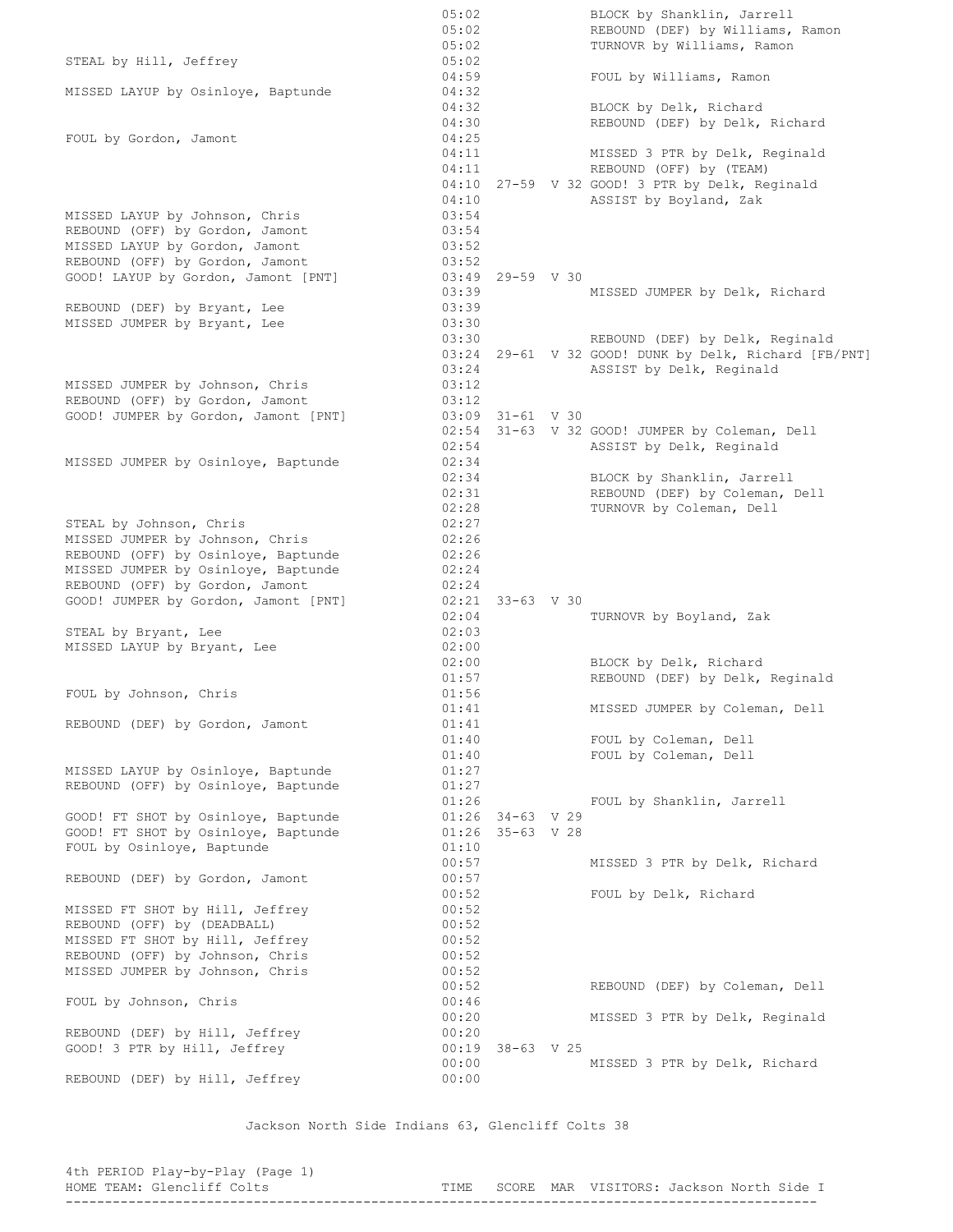05:02 BLOCK by Shanklin, Jarrell 05:02 REBOUND (DEF) by Williams, Ramon 05:02 TURNOVR by Williams, Ramon STEAL by Hill, Jeffrey 05:02 04:59 FOUL by Williams, Ramon MISSED LAYUP by Osinloye, Baptunde 04:32 04:32 BLOCK by Delk, Richard<br>04:30 REBOUND (DEF) by Delk, REBOUND (DEF) by Delk, Richard FOUL by Gordon, Jamont 04:25 04:11 MISSED 3 PTR by Delk, Reginald 04:11 REBOUND (OFF) by (TEAM) 04:10 27-59 V 32 GOOD! 3 PTR by Delk, Reginald 04:10 **ASSIST** by Boyland, Zak MISSED LAYUP by Johnson, Chris 03:54 REBOUND (OFF) by Gordon, Jamont 03:54<br>MISSED LAYUP by Gordon, Jamont 03:52 MISSED LAYUP by Gordon, Jamont<br>REBOUND (OFF) by Gordon, Jamont<br>COOD! Il.... REBOUND (OFF) by Gordon, Jamont (03:52 GOOD! LAYUP by Gordon, Jamont [PNT] 03:49 29-59 V 30 03:39 MISSED JUMPER by Delk, Richard REBOUND (DEF) by Bryant, Lee 03:39 MISSED JUMPER by Bryant, Lee  $03:30$ 03:30<br>03:30 REBOUND (DEF) by Delk, Reginald  $03:24$   $29-61$  V 32 GOOD! DUNK by Delk, Richard [FB/PNT] 03:24 ASSIST by Delk, Reginald MISSED JUMPER by Johnson, Chris 03:12<br>REBOUND (OFF) by Gordon, Jamont 03:12<br>GOOD! TIMPER by Contract 1 REBOUND (OFF) by Gordon, Jamont 03:12 GOOD! JUMPER by Gordon, Jamont [PNT] 03:09 31-61 V 30 02:54 31-63 V 32 GOOD! JUMPER by Coleman, Dell 02:54 ASSIST by Delk, Reginald MISSED JUMPER by Osinloye, Baptunde 02:34<br>02:34<br>02:31<br>02:28 02:34 BLOCK by Shanklin, Jarrell 02:31 REBOUND (DEF) by Coleman, Dell 02:28 TURNOVR by Coleman, Dell STEAL by Johnson, Chris 02:27 MISSED JUMPER by Johnson, Chris 02:26 REBOUND (OFF) by Osinloye, Baptunde 02:26<br>MISSED JUMPER by Osinloye, Baptunde 02:24 MISSED JUMPER by Osinloye, Baptunde REBOUND (OFF) by Gordon, Jamont 02:24 GOOD! JUMPER by Gordon, Jamont [PNT] 02:21 33-63 V 30 02:04 TURNOVR by Boyland, Zak STEAL by Bryant, Lee 02:03 MISSED LAYUP by Bryant, Lee 02:00 02:00 BLOCK by Delk, Richard<br>01:57 REBOUND (DEF) by Delk, REBOUND (DEF) by Delk, Reginald FOUL by Johnson, Chris 01:56 01:41 MISSED JUMPER by Coleman, Dell REBOUND (DEF) by Gordon, Jamont 01:41 01:40 FOUL by Coleman, Dell 01:40 FOUL by Coleman, Dell MISSED LAYUP by Osinloye, Baptunde 01:27<br>REBOUND (OFF) by Osinloye, Baptunde 01:27 REBOUND (OFF) by Osinloye, Baptunde 01:26<br>01:26 34-63 V 29<br>01:26 35-63 V 28  $GOOD!$  FT SHOT by Osinlove, Baptunde  $01:26$  34-63 V 29 GOOD! FT SHOT by Osinloye, Baptunde 01:26 35-63 V 28 FOUL by Osinloye, Baptunde 01:10 00:57 MISSED 3 PTR by Delk, Richard REBOUND (DEF) by Gordon, Jamont 00:57 00:52 FOUL by Delk, Richard MISSED FT SHOT by Hill, Jeffrey (00:52) REBOUND (OFF) by (DEADBALL)  $\overline{00:52}$ MISSED FT SHOT by Hill, Jeffrey 00:52 REBOUND (OFF) by Johnson, Chris 00:52 MISSED JUMPER by Johnson, Chris 00:52 00:52 REBOUND (DEF) by Coleman, Dell FOUL by Johnson, Chris 00:46 00:20 MISSED 3 PTR by Delk, Reginald REBOUND (DEF) by Hill, Jeffrey GOOD! 3 PTR by Hill, Jeffrey 00:19 38-63 V 25 00:00 MISSED 3 PTR by Delk, Richard REBOUND (DEF) by Hill, Jeffrey 00:00

Jackson North Side Indians 63, Glencliff Colts 38

| 4th PERIOD Play-by-Play (Page 1) |  |                                               |  |  |
|----------------------------------|--|-----------------------------------------------|--|--|
| HOME TEAM: Glencliff Colts       |  | TIME SCORE MAR VISITORS: Jackson North Side I |  |  |
|                                  |  |                                               |  |  |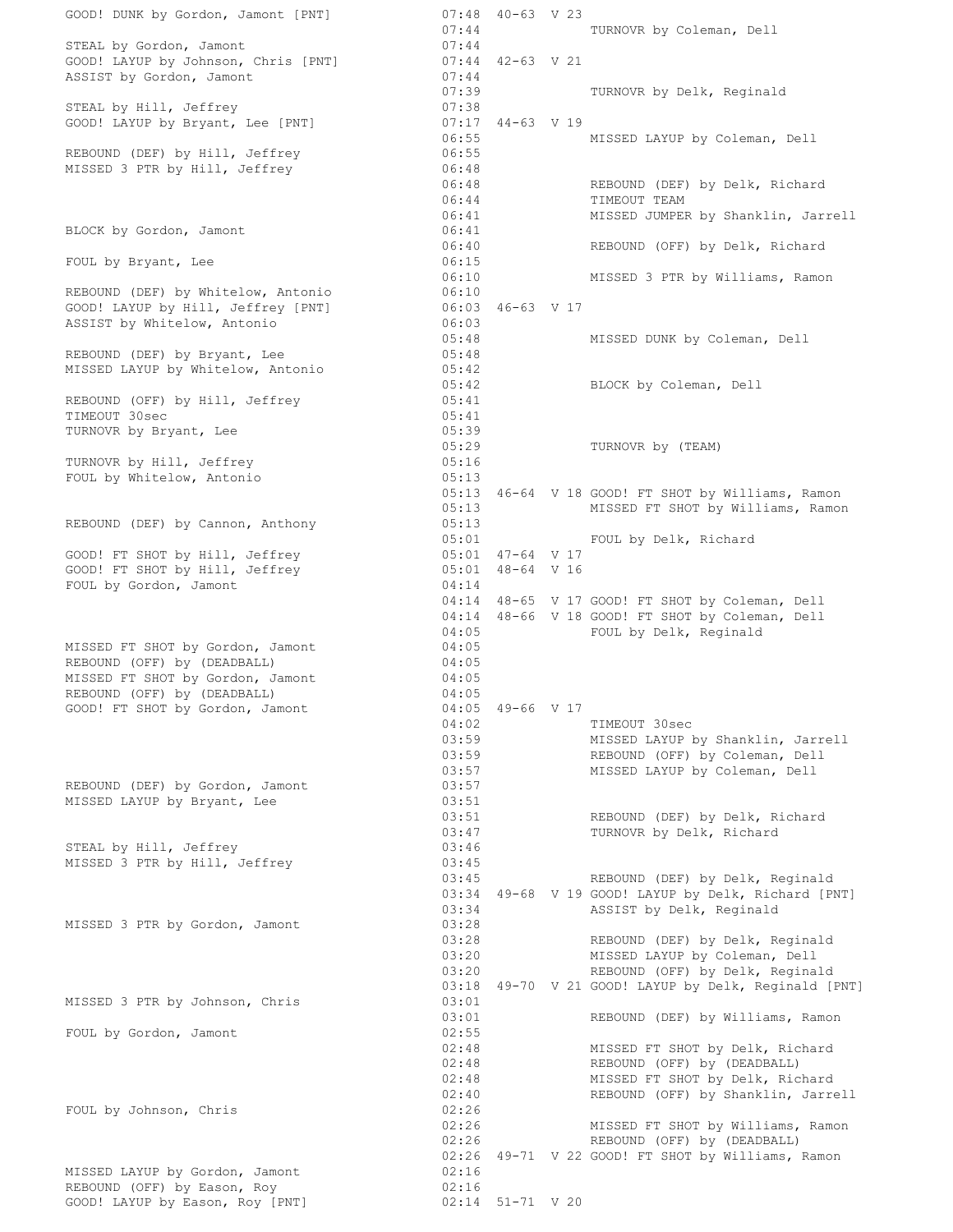GOOD! DUNK by Gordon, Jamont [PNT] 07:44 TURNOVR by Coleman, Dell STEAL by Gordon, Jamont GOOD! LAYUP by Johnson, Chris [PNT] ASSIST by Gordon, Jamont 07:44<br>07:39 TURNOVR by Delk, Reginald STEAL by Hill, Jeffrey 07:38<br>
GOOD! LAYUP by Bryant, Lee [PNT] 07:17 44-63 V 19 GOOD! LAYUP by Bryant, Lee [PNT] 06:55 MISSED LAYUP by Coleman, Dell REBOUND (DEF) by Hill, Jeffrey 06:55 MISSED 3 PTR by Hill, Jeffrey 06:48 06:48 REBOUND (DEF) by Delk, Richard 06:40 NEDOOND (DEF)<br>06:44 TIMEOUT TEAM<br>06:41 MISSED TIMPED 06:41 MISSED JUMPER by Shanklin, Jarrell BLOCK by Gordon, Jamont 06:41 06:40 REBOUND (OFF) by Delk, Richard FOUL by Bryant, Lee 06:15 06:10 MISSED 3 PTR by Williams, Ramon REBOUND (DEF) by Whitelow, Antonio 06:10 GOOD! LAYUP by Hill, Jeffrey [PNT] 06:03 46-63 V 17 REBOUND (DEF) by Whitelow, Antonio 06:10<br>
GOOD! LAYUP by Hill, Jeffrey [PNT] 06:03 46-63 V 17<br>
ASSIST by Whitelow, Antonio 06:03 06:03 REBOUND (DEF) by Bryant, Lee  $05:48$  MISSED DUNK by Coleman, Dell REBOUND (DEF) by Bryant, Lee 05:48 MISSED LAYUP by Whitelow, Antonio 05:42 05:42 BLOCK by Coleman, Dell REBOUND (OFF) by Hill, Jeffrey 05:41 TIMEOUT 30sec 05:41 TURNOVR by Bryant, Lee 05:39 05:29 TURNOVR by (TEAM) TURNOVR by Hill, Jeffrey 05:16 FOUL by Whitelow, Antonio 05:13 05:13 46-64 V 18 GOOD! FT SHOT by Williams, Ramon 05:13 MISSED FT SHOT by Williams, Ramon REBOUND (DEF) by Cannon, Anthony 05:13 05:01 FOUL by Delk, Richard GOOD! FT SHOT by Hill, Jeffrey 05:01 47-64 V 17 GOOD! FT SHOT by Hill, Jeffrey  $05:01$  48-64 V 16 FOUL by Gordon, Jamont 04:14 04:14 48-65 V 17 GOOD! FT SHOT by Coleman, Dell 04:14 48-65 V 17 GOOD! FT SHOT by Coleman, Dell<br>04:14 48-66 V 18 GOOD! FT SHOT by Coleman, Dell 04:05 FOUL by Delk, Reginald MISSED FT SHOT by Gordon, Jamont 04:05 REBOUND (OFF) by (DEADBALL) 04:05 MISSED FT SHOT by Gordon, Jamont 04:05 REBOUND (OFF) by (DEADBALL) 04:05 REBOUND (OFF) by (DEADBALL) 04:05<br>
GOOD! FT SHOT by Gordon, Jamont 04:05 49-66 V 17 04:02 TIMEOUT 30sec 03:59 MISSED LAYUP by Shanklin, Jarrell 03:59 REBOUND (OFF) by Coleman, Dell 03:57 MISSED LAYUP by Coleman, Dell REBOUND (DEF) by Gordon, Jamont 03:57 MISSED LAYUP by Bryant, Lee 03:51 03:51 REBOUND (DEF) by Delk, Richard 03:47 TURNOVR by Delk, Richard<br>03:46 STEAL by Hill, Jeffrey MISSED 3 PTR by Hill, Jeffrey 03:45 03:45 REBOUND (DEF) by Delk, Reginald 03:34 49-68 V 19 GOOD! LAYUP by Delk, Richard [PNT] 03:34 ASSIST by Delk, Reginald MISSED 3 PTR by Gordon, Jamont 03:28 03:28 REBOUND (DEF) by Delk, Reginald 03:20 MISSED LAYUP by Coleman, Dell 03:20 REBOUND (OFF) by Delk, Reginald 03:18 49-70 V 21 GOOD! LAYUP by Delk, Reginald [PNT] MISSED 3 PTR by Johnson, Chris 03:01 03:01 REBOUND (DEF) by Williams, Ramon FOUL by Gordon, Jamont 02:55 02:48 MISSED FT SHOT by Delk, Richard  $02:48$  REBOUND (OFF) by (DEADBALL) 02:48 MISSED FT SHOT by Delk, Richard 02:40 REBOUND (OFF) by Shanklin, Jarrell FOUL by Johnson, Chris (22:40)<br> $02:26$ 02:26 MISSED FT SHOT by Williams, Ramon 02:26 REBOUND (OFF) by (DEADBALL) 02:26 49-71 V 22 GOOD! FT SHOT by Williams, Ramon MISSED LAYUP by Gordon, Jamont 02:16 REBOUND (OFF) by Eason, Roy 602:16 GOOD! LAYUP by Eason, Roy  $[PNT]$  02:14 51-71 V 20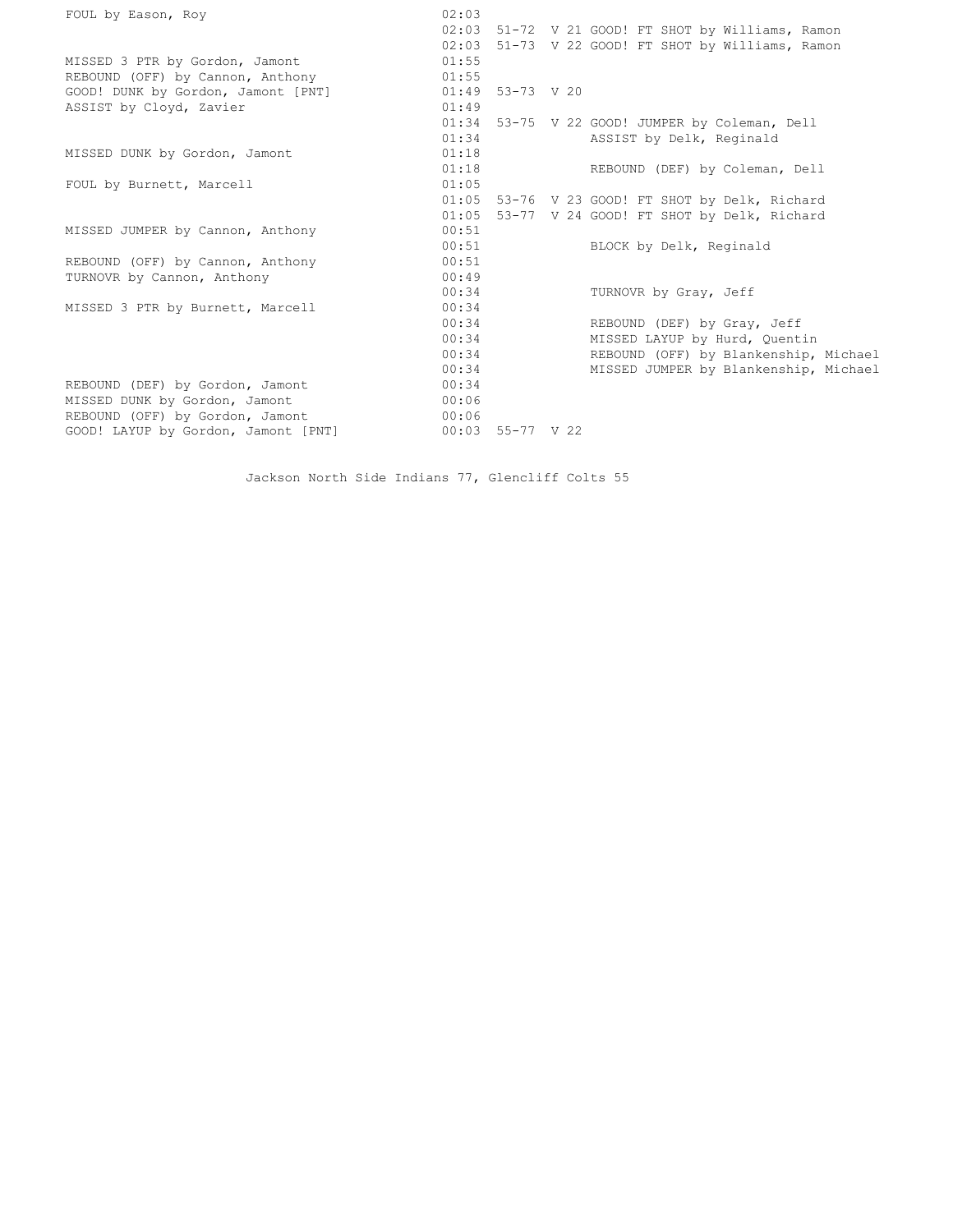| FOUL by Eason, Roy                  | 02:03 |                    |                                             |
|-------------------------------------|-------|--------------------|---------------------------------------------|
|                                     | 02:03 |                    | 51-72 V 21 GOOD! FT SHOT by Williams, Ramon |
|                                     | 02:03 |                    | 51-73 V 22 GOOD! FT SHOT by Williams, Ramon |
| MISSED 3 PTR by Gordon, Jamont      | 01:55 |                    |                                             |
| REBOUND (OFF) by Cannon, Anthony    | 01:55 |                    |                                             |
| GOOD! DUNK by Gordon, Jamont [PNT]  |       | $01:49$ 53-73 V 20 |                                             |
| ASSIST by Cloyd, Zavier             | 01:49 |                    |                                             |
|                                     | 01:34 |                    | 53-75 V 22 GOOD! JUMPER by Coleman, Dell    |
|                                     | 01:34 |                    | ASSIST by Delk, Reginald                    |
| MISSED DUNK by Gordon, Jamont       | 01:18 |                    |                                             |
|                                     | 01:18 |                    | REBOUND (DEF) by Coleman, Dell              |
| FOUL by Burnett, Marcell            | 01:05 |                    |                                             |
|                                     | 01:05 |                    | 53-76 V 23 GOOD! FT SHOT by Delk, Richard   |
|                                     | 01:05 |                    | 53-77 V 24 GOOD! FT SHOT by Delk, Richard   |
| MISSED JUMPER by Cannon, Anthony    | 00:51 |                    |                                             |
|                                     | 00:51 |                    | BLOCK by Delk, Reginald                     |
| REBOUND (OFF) by Cannon, Anthony    | 00:51 |                    |                                             |
| TURNOVR by Cannon, Anthony          | 00:49 |                    |                                             |
|                                     | 00:34 |                    | TURNOVR by Gray, Jeff                       |
| MISSED 3 PTR by Burnett, Marcell    | 00:34 |                    |                                             |
|                                     | 00:34 |                    | REBOUND (DEF) by Gray, Jeff                 |
|                                     | 00:34 |                    | MISSED LAYUP by Hurd, Quentin               |
|                                     | 00:34 |                    | REBOUND (OFF) by Blankenship, Michael       |
|                                     | 00:34 |                    | MISSED JUMPER by Blankenship, Michael       |
| REBOUND (DEF) by Gordon, Jamont     | 00:34 |                    |                                             |
| MISSED DUNK by Gordon, Jamont       | 00:06 |                    |                                             |
| REBOUND (OFF) by Gordon, Jamont     | 00:06 |                    |                                             |
| GOOD! LAYUP by Gordon, Jamont [PNT] |       | $00:03$ 55-77 V 22 |                                             |

Jackson North Side Indians 77, Glencliff Colts 55